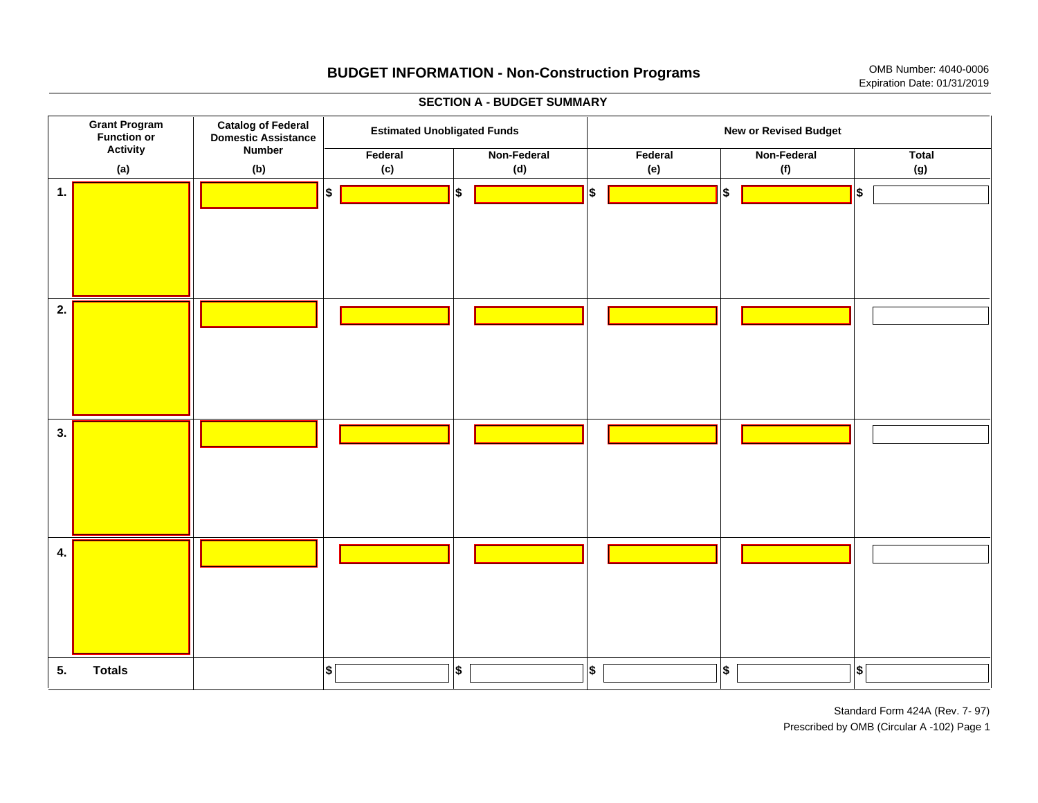

Standard Form 424A (Rev. 7-97) Prescribed by OMB (Circular A -102) Page 1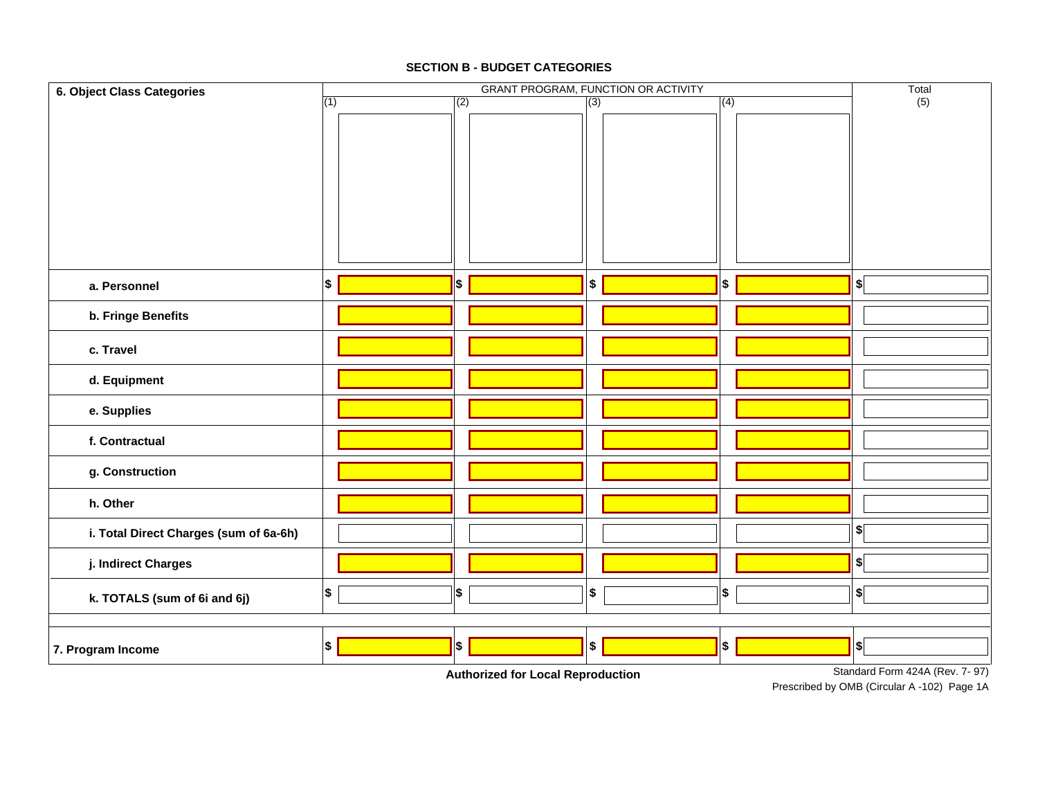Close Form

 $\boldsymbol{\mathsf{x}}$ 

Previous **Next** 

## **SECTION B - BUDGET CATEGORIES**



Prescribed by OMB (Circular A-102) Page 1A